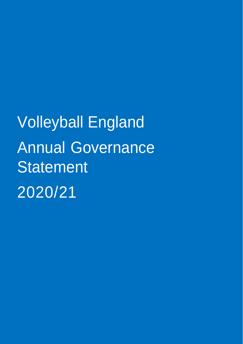Volleyball England Annual Governance Statement 2020/21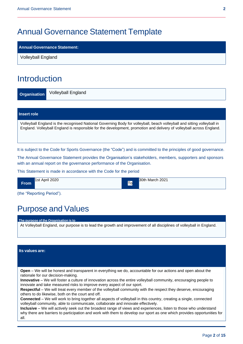## Annual Governance Statement Template

#### **Annual Governance Statement:**

Volleyball England

## Introduction

**Organisation** Volleyball England

| Volleyball England is the recognised National Governing Body for volleyball, beach volleyball and sitting volleyball in<br>England. Volleyball England is responsible for the development, promotion and delivery of volleyball across England. | Insert role |
|-------------------------------------------------------------------------------------------------------------------------------------------------------------------------------------------------------------------------------------------------|-------------|
|                                                                                                                                                                                                                                                 |             |

It is subject to the Code for Sports Governance (the "Code") and is committed to the principles of good governance.

The Annual Governance Statement provides the Organisation's stakeholders, members, supporters and sponsors with an annual report on the governance performance of the Organisation.

This Statement is made in accordance with the Code for the period

| 1st April 2020 | 30th March 2021 |
|----------------|-----------------|
| <b>From</b>    | <b>Tol</b>      |

(the "Reporting Period").

# Purpose and Values

**The purpose of the Organisation is to**

At Volleyball England, our purpose is to lead the growth and improvement of all disciplines of volleyball in England.

#### **Its values are:**

**Open** – We will be honest and transparent in everything we do, accountable for our actions and open about the rationale for our decision-making.

**Innovative** – We will foster a culture of innovation across the entire volleyball community, encouraging people to innovate and take measured risks to improve every aspect of our sport.

**Respectful** – We will treat every member of the volleyball community with the respect they deserve, encouraging others to do likewise, both on the court and off.

**Connected** – We will work to bring together all aspects of volleyball in this country, creating a single, connected volleyball community, able to communicate, collaborate and innovate effectively.

**Inclusive** – We will actively seek out the broadest range of views and experiences, listen to those who understand why there are barriers to participation and work with them to develop our sport as one which provides opportunities for all.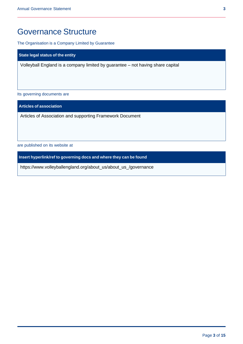## Governance Structure

The Organisation is a Company Limited by Guarantee

**State legal status of the entity**

Volleyball England is a company limited by guarantee – not having share capital

Its governing documents are

**Articles of association**

Articles of Association and supporting Framework Document

are published on its website at

**Insert hyperlink/ref to governing docs and where they can be found**

https://www.volleyballengland.org/about\_us/about\_us\_/governance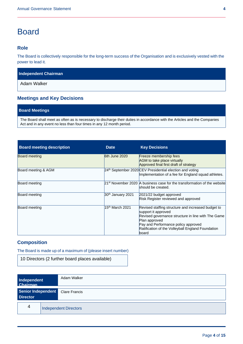## **Board**

#### **Role**

The Board is collectively responsible for the long-term success of the Organisation and is exclusively vested with the power to lead it.

| <b>Independent Chairman</b> |  |
|-----------------------------|--|
|-----------------------------|--|

Adam Walker

### **Meetings and Key Decisions**

#### **Board Meetings**

The Board shall meet as often as is necessary to discharge their duties in accordance with the Articles and the Companies Act and in any event no less than four times in any 12 month period.

| <b>Board meeting description</b> | <b>Date</b>                   | <b>Key Decisions</b>                                                                                                                                                                                                                                   |
|----------------------------------|-------------------------------|--------------------------------------------------------------------------------------------------------------------------------------------------------------------------------------------------------------------------------------------------------|
| <b>Board meeting</b>             | $6th$ June 2020               | Freeze membership fees<br>AGM to take place virtually<br>Approved final first draft of strategy                                                                                                                                                        |
| Board meeting & AGM              |                               | 24 <sup>th</sup> September 2020 CEV Presidential election and voting<br>Implementation of a fee for England squad athletes.                                                                                                                            |
| Board meeting                    |                               | 21 <sup>st</sup> November 2020 A business case for the transformation of the website<br>should be created.                                                                                                                                             |
| Board meeting                    | 30 <sup>th</sup> January 2021 | 2021/22 budget approved<br>Risk Register reviewed and approved                                                                                                                                                                                         |
| Board meeting                    | 15 <sup>th</sup> March 2021   | Revised staffing structure and increased budget to<br>support it approved<br>Revised governance structure in line with The Game<br>Plan approved<br>Pay and Performance policy approved<br>Ratification of the Volleyball England Foundation<br>lboard |

#### **Composition**

The Board is made up of a maximum of (please insert number)

10 Directors (2 further board places available)

| Independent<br><b>Chairman</b>        | Adam Walker                  |
|---------------------------------------|------------------------------|
| Senior Independent<br><b>Director</b> | <b>Clare Francis</b>         |
| 4                                     | <b>Independent Directors</b> |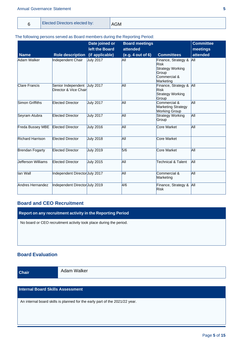#### Annual Governance Statement **5**

| <b>Elected Directors elected by:</b><br><b>AGM</b> |  |
|----------------------------------------------------|--|
|----------------------------------------------------|--|

#### The following persons served as Board members during the Reporting Period:

|                         |                                             | Date joined or<br>left the Board | <b>Board meetings</b><br>attended |                                                                                              | <b>Committee</b><br>meetings |
|-------------------------|---------------------------------------------|----------------------------------|-----------------------------------|----------------------------------------------------------------------------------------------|------------------------------|
| <b>Name</b>             | <b>Role description</b>                     | (if applicable)                  | (e.g. 4 out of 6)                 | <b>Committees</b>                                                                            | attended                     |
| Adam Walker             | Independent Chair                           | <b>July 2017</b>                 | All                               | Finance, Strategy &<br><b>Risk</b><br>Strategy Working<br>Group<br>Commercial &<br>Marketing | All                          |
| <b>Clare Francis</b>    | Senior Independent<br>Director & Vice Chair | <b>July 2017</b>                 | All                               | Finance, Strategy &<br><b>Risk</b><br>Strategy Working<br>Group                              | <b>AII</b>                   |
| Simon Griffiths         | <b>Elected Director</b>                     | <b>July 2017</b>                 | lАll                              | Commercial &<br><b>Marketing Strategy</b><br><b>Working Group</b>                            | lАll                         |
| Seyram Atubra           | <b>Elected Director</b>                     | <b>July 2017</b>                 | All                               | Strategy Working<br>Group                                                                    | All                          |
| Freda Bussey MBE        | <b>Elected Director</b>                     | <b>July 2016</b>                 | All                               | Core Market                                                                                  | All                          |
| <b>Richard Harrison</b> | Elected Director                            | <b>July 2018</b>                 | All                               | Core Market                                                                                  |                              |
| Brendan Fogarty         | <b>Elected Director</b>                     | <b>July 2019</b>                 | 5/6                               | Core Market                                                                                  | All                          |
| Uefferson Williams      | <b>Elected Director</b>                     | <b>July 2015</b>                 | All                               | <b>Technical &amp; Talent</b>                                                                | All                          |
| lan Wall                | Independent Director July 2017              |                                  | All                               | Commercial &<br>Marketing                                                                    | All                          |
| Andres Hernandez        | Independent DirectorUuly 2019               |                                  | 4/6                               | Finance, Strategy &<br><b>Risk</b>                                                           | All                          |

### **Board and CEO Recruitment**

**Report on any recruitment activity in the Reporting Period**

No board or CEO recruitment activity took place during the period.

### **Board Evaluation**

Adam Walker **Chair**

### **Internal Board Skills Assessment**

An internal board skills is planned for the early part of the 2021/22 year.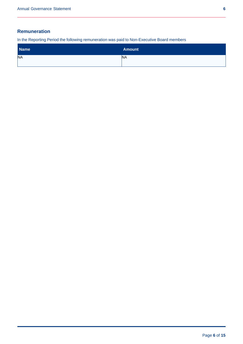### **Remuneration**

In the Reporting Period the following remuneration was paid to Non-Executive Board members

| <b>Name</b> | <b>Amount</b> |
|-------------|---------------|
| <b>NA</b>   | <b>NA</b>     |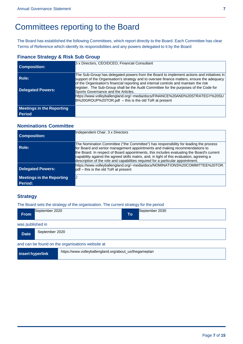# Committees reporting to the Board

The Board has established the following Committees, which report directly to the Board. Each Committee has clear Terms of Reference which identify its responsibilities and any powers delegated to it by the Board

### **Finance Strategy & Risk Sub Group**

| <b>Composition:</b>              | 3 x Directors, CEO/DCEO, Financial Consultant                                                                                                                                                                                                                                                                                                                             |
|----------------------------------|---------------------------------------------------------------------------------------------------------------------------------------------------------------------------------------------------------------------------------------------------------------------------------------------------------------------------------------------------------------------------|
| Role:                            | The Sub-Group has delegated powers from the Board to implement actions and initiatives in<br>support of the Organisation's strategy and to oversee finance matters, ensure the adequacy<br>of the Organisation's financial reporting and internal controls and maintain the risk<br>register. The Sub-Group shall be the Audit Committee for the purposes of the Code for |
| <b>Delegated Powers:</b>         | Sports Governance and the Articles.<br>https://www.volleyballengland.org/~media/docs/FINANCE%20AND%20STRATEGY%20SU<br>B%20GROUP%20TOR.pdf - this is the old ToR at present                                                                                                                                                                                                |
| <b>Meetings in the Reporting</b> |                                                                                                                                                                                                                                                                                                                                                                           |
| <b>Period</b>                    |                                                                                                                                                                                                                                                                                                                                                                           |

#### **Nominations Committee**

| <b>Composition:</b>                         | Independent Chair, 3 x Directors                                                                                                                                                                                                                                                                                                                                                                                                                 |
|---------------------------------------------|--------------------------------------------------------------------------------------------------------------------------------------------------------------------------------------------------------------------------------------------------------------------------------------------------------------------------------------------------------------------------------------------------------------------------------------------------|
| Role:                                       | The Nomination Committee ("the Committee") has responsibility for leading the process<br>for Board and senior management appointments and making recommendations to<br>the Board. In respect of Board appointments, this includes evaluating the Board's current<br>capability against the agreed skills matrix, and, in light of this evaluation, agreeing a<br>description of the role and capabilities required for a particular appointment. |
| <b>Delegated Powers:</b>                    | https://www.volleyballengland.org/~media/docs/NOMINATIONS%20COMMITTEE%20TOR.<br>pdf – this is the old ToR at present                                                                                                                                                                                                                                                                                                                             |
| <b>Meetings in the Reporting</b><br>Period: |                                                                                                                                                                                                                                                                                                                                                                                                                                                  |

### **Strategy**

The Board sets the strategy of the organisation. The current strategy for the period

| <b>From</b>      | September 2020 |                                                        | To | September 2030 |
|------------------|----------------|--------------------------------------------------------|----|----------------|
| was published in |                |                                                        |    |                |
| <b>Date</b>      | September 2020 |                                                        |    |                |
|                  |                | and can be found on the organisations website at       |    |                |
| insert hyperlink |                | https://www.volleyballengland.org/about_us/thegameplan |    |                |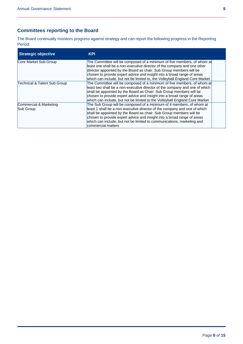### **Committees reporting to the Board**

The Board continually monitors progress against strategy and can report the following progress in the Reporting Period:

| <b>Strategic objective</b>          | <b>KPI</b>                                                                                                                                                                                                                                                                                                                                                                                          |  |
|-------------------------------------|-----------------------------------------------------------------------------------------------------------------------------------------------------------------------------------------------------------------------------------------------------------------------------------------------------------------------------------------------------------------------------------------------------|--|
| Core Market Sub Group               | The Committee will be composed of a minimum of five members, of whom at<br>least one shall be a non-executive director of the company and one other<br>director appointed by the Board as chair. Sub Group members will be<br>chosen to provide expert advice and insight into a broad range of areas<br>which can include, but not be limited to, the Volleyball England Core Market.              |  |
| Technical & Talent Sub Group        | The Committee will be composed of a minimum of five members, of whom at<br>least two shall be a non-executive director of the company and one of which<br>shall be appointed by the Board as Chair. Sub Group members will be<br>chosen to provide expert advice and insight into a broad range of areas<br>which can include, but not be limited to the Volleyball England Core Market             |  |
| Commercial & Marketing<br>Sub Group | The Sub Group will be composed of a minimum of 4 members, of whom at<br>least 1 shall be a non-executive director of the company and one of which<br>shall be appointed by the Board as chair. Sub Group members will be<br>chosen to provide expert advice and insight into a broad range of areas<br>which can include, but not be limited to communications, marketing and<br>commercial matters |  |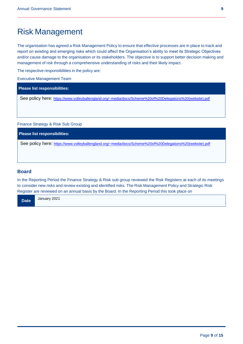## Risk Management

The organisation has agreed a Risk Management Policy to ensure that effective processes are in place to track and report on existing and emerging risks which could affect the Organisation's ability to meet its Strategic Objectives and/or cause damage to the organisation or its stakeholders. The objective is to support better decision making and management of risk through a comprehensive understanding of risks and their likely impact.

The respective responsibilities in the policy are:

Executive Management Team

**Please list responsibilities:**

See policy here: [https://www.volleyballengland.org/~media/docs/Scheme%20of%20Delegations%20\(website\).pdf](https://www.volleyballengland.org/~media/docs/Scheme%20of%20Delegations%20(website).pdf)

Finance Strategy & Risk Sub Group

**Please list responsibilities:**

See policy here: [https://www.volleyballengland.org/~media/docs/Scheme%20of%20Delegations%20\(website\).pdf](https://www.volleyballengland.org/~media/docs/Scheme%20of%20Delegations%20(website).pdf)

#### **Board**

In the Reporting Period the Finance Strategy & Risk sub group reviewed the Risk Registers at each of its meetings to consider new risks and review existing and identified risks. The Risk Management Policy and Strategic Risk Register are reviewed on an annual basis by the Board. In the Reporting Period this took place on

January 2021 **Date**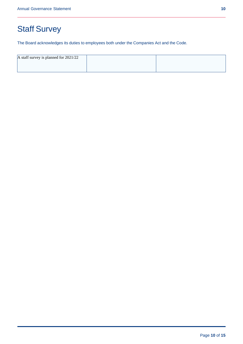# Staff Survey

The Board acknowledges its duties to employees both under the Companies Act and the Code.

| A staff survey is planned for 2021/22 |  |
|---------------------------------------|--|
|                                       |  |
|                                       |  |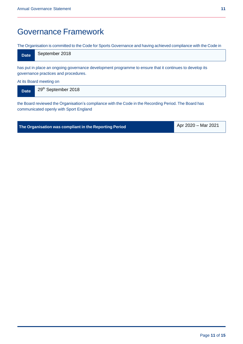## Governance Framework

The Organisation is committed to the Code for Sports Governance and having achieved compliance with the Code in

| Date | September 2018 |
|------|----------------|
|------|----------------|

has put in place an ongoing governance development programme to ensure that it continues to develop its governance practices and procedures.

At its Board meeting on

| <b>Date</b> | 29th September 2018 |
|-------------|---------------------|
|-------------|---------------------|

the Board reviewed the Organisation's compliance with the Code in the Recording Period. The Board has communicated openly with Sport England

Apr 2020 – Mar 2021 **The Organisation was compliant in the Reporting Period**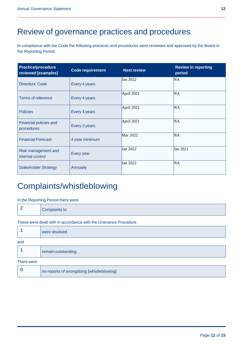## Review of governance practices and procedures

In compliance with the Code the following practices and procedures were reviewed and approved by the Board in the Reporting Period.

| <b>Practice/procedure</b><br>reviewed [examples] | <b>Code requirement</b> | <b>Next review</b> | <b>Review in reporting</b><br>period |
|--------------------------------------------------|-------------------------|--------------------|--------------------------------------|
| <b>Directors' Code</b>                           | Every 4 years           | Jan 2022           | NA                                   |
| Terms of reference                               | Every 4 years           | April 2021         | NA <sub></sub>                       |
| <b>Policies</b>                                  | Every 4 years           | April 2021         | NA <sub></sub>                       |
| <b>Financial policies and</b><br>procedures      | Every 2 years           | April 2021         | NA <sub></sub>                       |
| <b>Financial Forecast</b>                        | 4 year minimum          | Mar 2022           | NA                                   |
| Risk management and<br>internal control          | Every year              | Jan 2022           | Jan 2021                             |
| <b>Stakeholder Strategy</b>                      | Annually                | Jan 2022           | NA <sub></sub>                       |

## Complaints/whistleblowing

#### In the Reporting Period there were

| 2          | <b>Complaints to</b>                                              |
|------------|-------------------------------------------------------------------|
|            | These were dealt with in accordance with the Grievance Procedure. |
|            | were resolved                                                     |
| and        |                                                                   |
|            | remain outstanding.                                               |
| There were |                                                                   |
| 0          | no reports of wrongdoing [whistleblowing]                         |